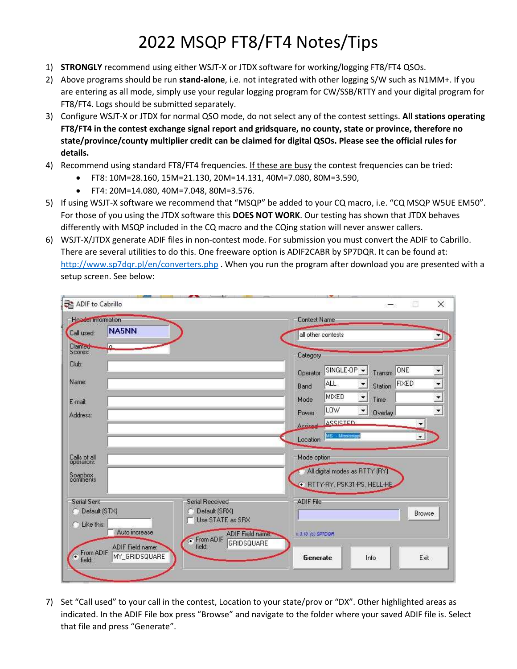## 2022 MSQP FT8/FT4 Notes/Tips

- 1) **STRONGLY** recommend using either WSJT-X or JTDX software for working/logging FT8/FT4 QSOs.
- 2) Above programs should be run **stand-alone**, i.e. not integrated with other logging S/W such as N1MM+. If you are entering as all mode, simply use your regular logging program for CW/SSB/RTTY and your digital program for FT8/FT4. Logs should be submitted separately.
- 3) Configure WSJT-X or JTDX for normal QSO mode, do not select any of the contest settings. **All stations operating FT8/FT4 in the contest exchange signal report and gridsquare, no county, state or province, therefore no state/province/county multiplier credit can be claimed for digital QSOs. Please see the official rules for details.**
- 4) Recommend using standard FT8/FT4 frequencies. If these are busy the contest frequencies can be tried:
	- FT8: 10M=28.160, 15M=21.130, 20M=14.131, 40M=7.080, 80M=3.590,
	- FT4: 20M=14.080, 40M=7.048, 80M=3.576.
- 5) If using WSJT-X software we recommend that "MSQP" be added to your CQ macro, i.e. "CQ MSQP W5UE EM50". For those of you using the JTDX software this **DOES NOT WORK**. Our testing has shown that JTDX behaves differently with MSQP included in the CQ macro and the CQing station will never answer callers.
- 6) WSJT-X/JTDX generate ADIF files in non-contest mode. For submission you must convert the ADIF to Cabrillo. There are several utilities to do this. One freeware option is ADIF2CABR by SP7DQR. It can be found at: <http://www.sp7dqr.pl/en/converters.php>. When you run the program after download you are presented with a setup screen. See below:

| ADIF to Cabrillo                          |                                   |                                      | Ð                              | ×                        |  |
|-------------------------------------------|-----------------------------------|--------------------------------------|--------------------------------|--------------------------|--|
| <b>Header information</b>                 |                                   | <b>Contest Name</b>                  |                                |                          |  |
| NA5NN<br>Call used:                       |                                   | all other contests                   |                                | ▼                        |  |
| Clamed<br>In.<br>Scores:<br>г             |                                   |                                      |                                |                          |  |
| Club:                                     |                                   | Category                             |                                |                          |  |
| Name:                                     |                                   | SINGLE-OP $\star$<br>Operator        | Transm. ONE                    |                          |  |
|                                           |                                   | ALL.<br>≛<br>Band<br>MIXED           | <b>FIXED</b><br>Station        | $\overline{\phantom{a}}$ |  |
| E-mail:                                   |                                   | $\overline{ }$<br>Mode               | Time                           | $\overline{\phantom{0}}$ |  |
| Address:                                  |                                   | LOW<br>▼<br>Power<br><b>ASSISTED</b> | Overlay<br>۰                   | $\blacksquare$           |  |
|                                           |                                   | Assisted<br>MS - Mississipp          | $\star$                        |                          |  |
|                                           |                                   | Location                             |                                |                          |  |
| Calls of all<br>operators:                |                                   | Mode option                          |                                |                          |  |
| Soapbox<br>comments                       |                                   |                                      | All digital modes as RTTY (RY) |                          |  |
|                                           |                                   | C RTTY-RY, PSK31-PS, HELL-HE         |                                |                          |  |
| Serial Sent                               | Serial Received                   | <b>ADIF File</b>                     |                                |                          |  |
| Default (STX)                             | Default (SRX)<br>Use STATE as SRX |                                      | <b>Browse</b>                  |                          |  |
| Like this:<br>Auto increase               | ADIF Field name.                  | # 3.10 (c) SP7DOR                    |                                |                          |  |
| ADIF Field name:                          | From ADIF<br>GRIDSQUARE<br>field: |                                      |                                |                          |  |
| From ADIF<br>Ġ<br>MY_GRIDSQUARE<br>field: |                                   | Info<br>Generate                     |                                | Exit                     |  |
|                                           |                                   |                                      |                                |                          |  |

7) Set "Call used" to your call in the contest, Location to your state/prov or "DX". Other highlighted areas as indicated. In the ADIF File box press "Browse" and navigate to the folder where your saved ADIF file is. Select that file and press "Generate".